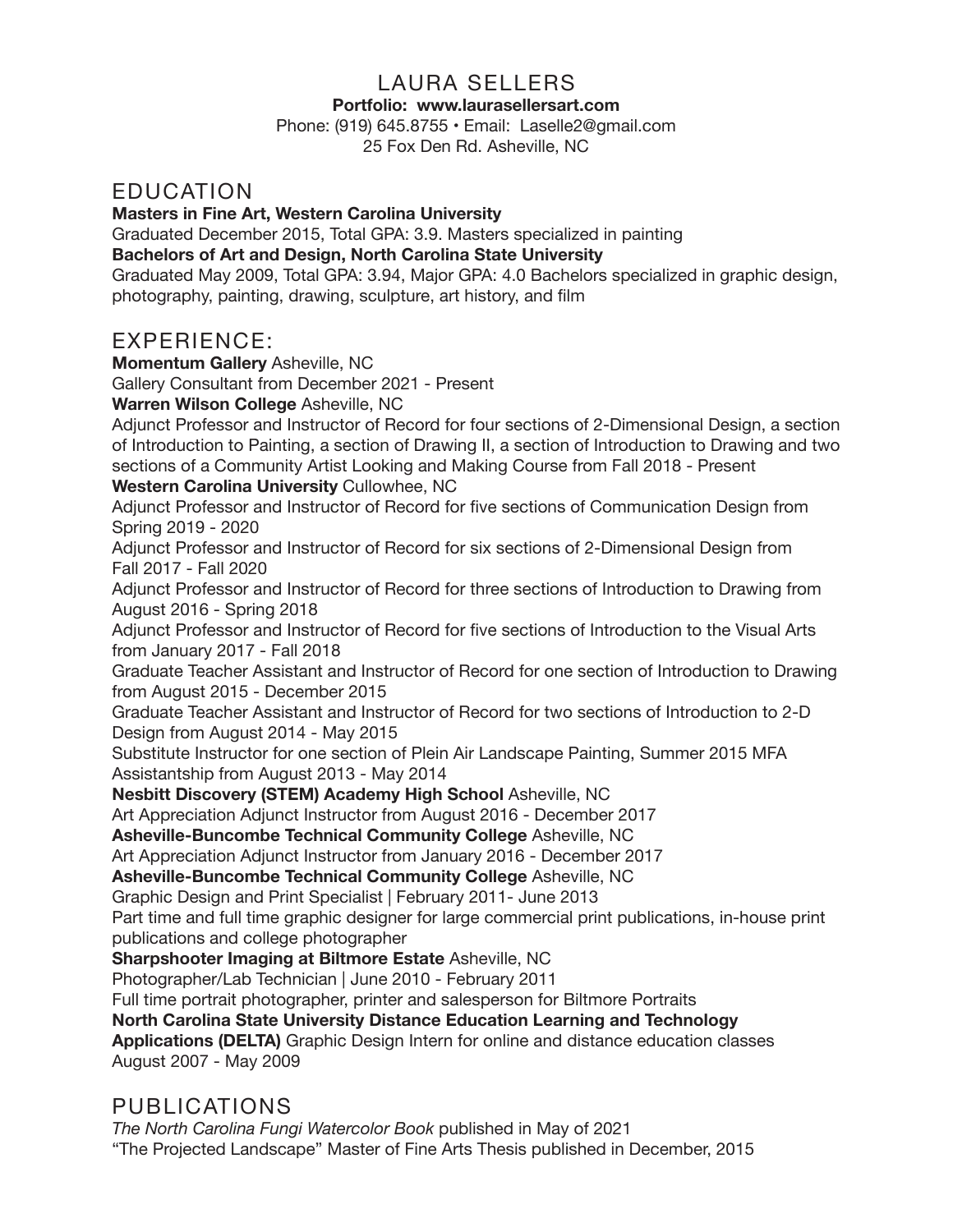# LAURA SELLERS

#### **Portfolio: www.laurasellersart.com**

Phone: (919) 645.8755 • Email: Laselle2@gmail.com 25 Fox Den Rd. Asheville, NC

#### **EDUCATION**

**Masters in Fine Art, Western Carolina University**

Graduated December 2015, Total GPA: 3.9. Masters specialized in painting **Bachelors of Art and Design, North Carolina State University**

Graduated May 2009, Total GPA: 3.94, Major GPA: 4.0 Bachelors specialized in graphic design, photography, painting, drawing, sculpture, art history, and film

## EXPERIENCE:

**Momentum Gallery** Asheville, NC

Gallery Consultant from December 2021 - Present

**Warren Wilson College** Asheville, NC

Adjunct Professor and Instructor of Record for four sections of 2-Dimensional Design, a section of Introduction to Painting, a section of Drawing II, a section of Introduction to Drawing and two sections of a Community Artist Looking and Making Course from Fall 2018 - Present

**Western Carolina University** Cullowhee, NC

Adjunct Professor and Instructor of Record for five sections of Communication Design from Spring 2019 - 2020

Adjunct Professor and Instructor of Record for six sections of 2-Dimensional Design from Fall 2017 - Fall 2020

Adjunct Professor and Instructor of Record for three sections of Introduction to Drawing from August 2016 - Spring 2018

Adjunct Professor and Instructor of Record for five sections of Introduction to the Visual Arts from January 2017 - Fall 2018

Graduate Teacher Assistant and Instructor of Record for one section of Introduction to Drawing from August 2015 - December 2015

Graduate Teacher Assistant and Instructor of Record for two sections of Introduction to 2-D Design from August 2014 - May 2015

Substitute Instructor for one section of Plein Air Landscape Painting, Summer 2015 MFA Assistantship from August 2013 - May 2014

#### **Nesbitt Discovery (STEM) Academy High School** Asheville, NC

Art Appreciation Adjunct Instructor from August 2016 - December 2017

**Asheville-Buncombe Technical Community College** Asheville, NC

Art Appreciation Adjunct Instructor from January 2016 - December 2017

**Asheville-Buncombe Technical Community College** Asheville, NC

Graphic Design and Print Specialist | February 2011- June 2013

Part time and full time graphic designer for large commercial print publications, in-house print publications and college photographer

**Sharpshooter Imaging at Biltmore Estate** Asheville, NC

Photographer/Lab Technician | June 2010 - February 2011

Full time portrait photographer, printer and salesperson for Biltmore Portraits

**North Carolina State University Distance Education Learning and Technology** 

**Applications (DELTA)** Graphic Design Intern for online and distance education classes August 2007 - May 2009

## PUBLICATIONS

*The North Carolina Fungi Watercolor Book* published in May of 2021 "The Projected Landscape" Master of Fine Arts Thesis published in December, 2015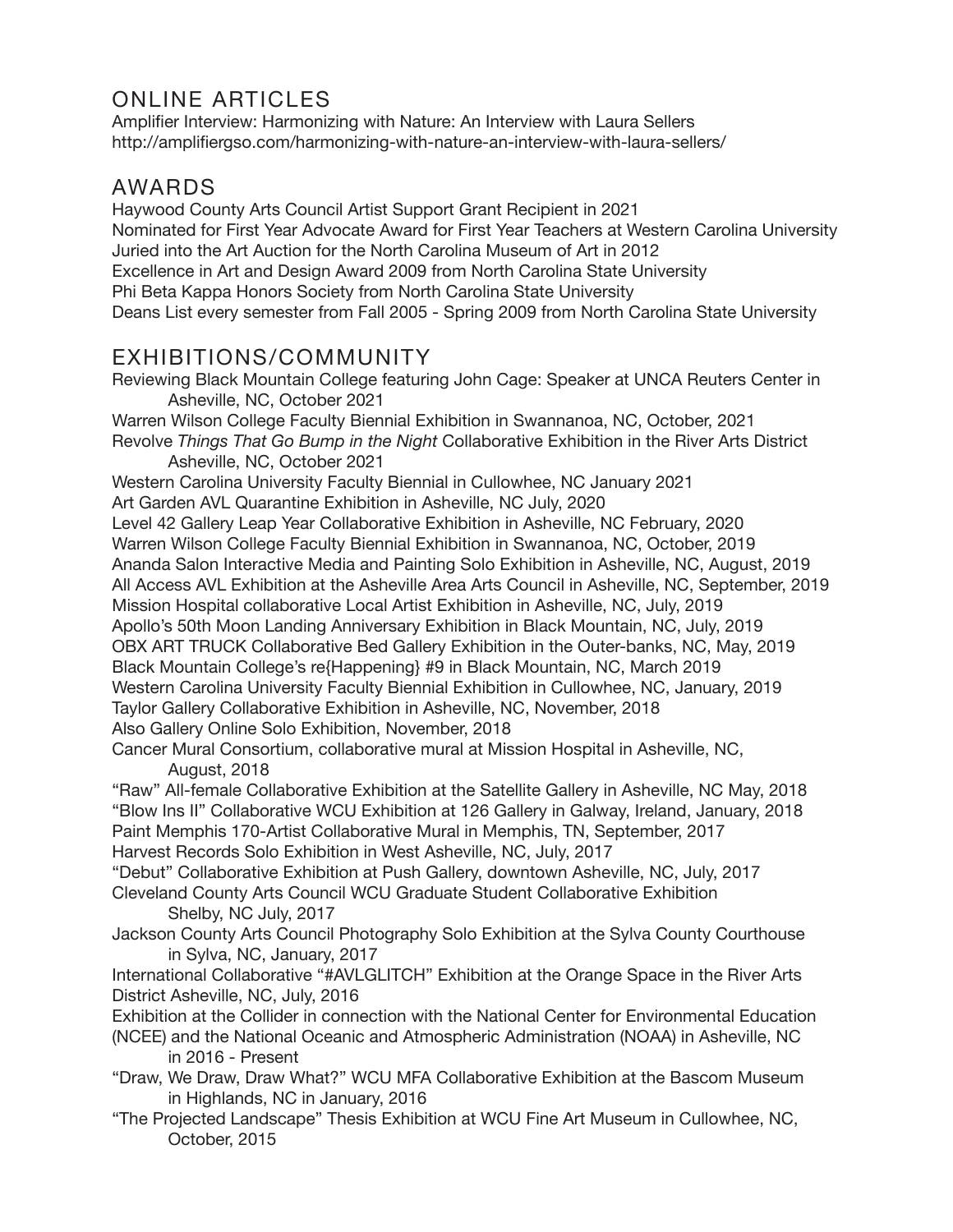# ONLINE ARTICLES

Amplifier Interview: Harmonizing with Nature: An Interview with Laura Sellers http://amplifiergso.com/harmonizing-with-nature-an-interview-with-laura-sellers/

# AWARDS

Haywood County Arts Council Artist Support Grant Recipient in 2021 Nominated for First Year Advocate Award for First Year Teachers at Western Carolina University Juried into the Art Auction for the North Carolina Museum of Art in 2012 Excellence in Art and Design Award 2009 from North Carolina State University Phi Beta Kappa Honors Society from North Carolina State University Deans List every semester from Fall 2005 - Spring 2009 from North Carolina State University

## EXHIBITIONS/COMMUNITY

Reviewing Black Mountain College featuring John Cage: Speaker at UNCA Reuters Center in Asheville, NC, October 2021 Warren Wilson College Faculty Biennial Exhibition in Swannanoa, NC, October, 2021 Revolve *Things That Go Bump in the Night* Collaborative Exhibition in the River Arts District

Asheville, NC, October 2021

Western Carolina University Faculty Biennial in Cullowhee, NC January 2021 Art Garden AVL Quarantine Exhibition in Asheville, NC July, 2020 Level 42 Gallery Leap Year Collaborative Exhibition in Asheville, NC February, 2020 Warren Wilson College Faculty Biennial Exhibition in Swannanoa, NC, October, 2019 Ananda Salon Interactive Media and Painting Solo Exhibition in Asheville, NC, August, 2019 All Access AVL Exhibition at the Asheville Area Arts Council in Asheville, NC, September, 2019 Mission Hospital collaborative Local Artist Exhibition in Asheville, NC, July, 2019 Apollo's 50th Moon Landing Anniversary Exhibition in Black Mountain, NC, July, 2019 OBX ART TRUCK Collaborative Bed Gallery Exhibition in the Outer-banks, NC, May, 2019 Black Mountain College's re{Happening} #9 in Black Mountain, NC, March 2019 Western Carolina University Faculty Biennial Exhibition in Cullowhee, NC, January, 2019 Taylor Gallery Collaborative Exhibition in Asheville, NC, November, 2018 Also Gallery Online Solo Exhibition, November, 2018

Cancer Mural Consortium, collaborative mural at Mission Hospital in Asheville, NC, August, 2018

"Raw" All-female Collaborative Exhibition at the Satellite Gallery in Asheville, NC May, 2018 "Blow Ins II" Collaborative WCU Exhibition at 126 Gallery in Galway, Ireland, January, 2018 Paint Memphis 170-Artist Collaborative Mural in Memphis, TN, September, 2017

Harvest Records Solo Exhibition in West Asheville, NC, July, 2017

"Debut" Collaborative Exhibition at Push Gallery, downtown Asheville, NC, July, 2017 Cleveland County Arts Council WCU Graduate Student Collaborative Exhibition

Shelby, NC July, 2017

Jackson County Arts Council Photography Solo Exhibition at the Sylva County Courthouse in Sylva, NC, January, 2017

International Collaborative "#AVLGLITCH" Exhibition at the Orange Space in the River Arts District Asheville, NC, July, 2016

Exhibition at the Collider in connection with the National Center for Environmental Education (NCEE) and the National Oceanic and Atmospheric Administration (NOAA) in Asheville, NC

in 2016 - Present

"Draw, We Draw, Draw What?" WCU MFA Collaborative Exhibition at the Bascom Museum in Highlands, NC in January, 2016

"The Projected Landscape" Thesis Exhibition at WCU Fine Art Museum in Cullowhee, NC, October, 2015